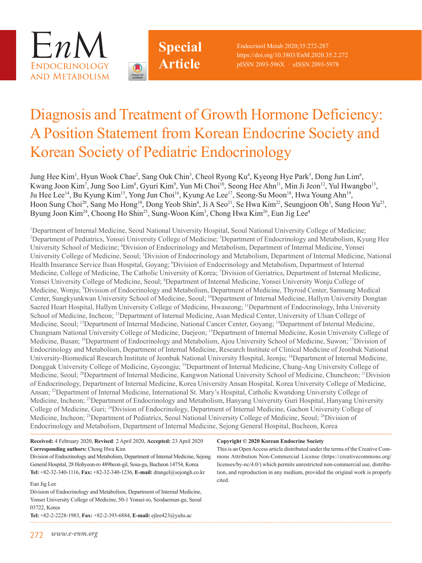



Endocrinol Metab 2020;35:272-287 https://doi.org/10.3803/EnM.2020.35.2.272 pISSN 2093-596X · eISSN 2093-5978

# Diagnosis and Treatment of Growth Hormone Deficiency: A Position Statement from Korean Endocrine Society and Korean Society of Pediatric Endocrinology

Jung Hee Kim<sup>1</sup>, Hyun Wook Chae<sup>2</sup>, Sang Ouk Chin<sup>3</sup>, Cheol Ryong Ku<sup>4</sup>, Kyeong Hye Park<sup>5</sup>, Dong Jun Lim<sup>6</sup>, Kwang Joon Kim<sup>7</sup>, Jung Soo Lim<sup>8</sup>, Gyuri Kim<sup>9</sup>, Yun Mi Choi<sup>10</sup>, Seong Hee Ahn<sup>11</sup>, Min Ji Jeon<sup>12</sup>, Yul Hwangbo<sup>13</sup>, Ju Hee Lee<sup>14</sup>, Bu Kyung Kim<sup>15</sup>, Yong Jun Choi<sup>16</sup>, Kyung Ae Lee<sup>17</sup>, Seong-Su Moon<sup>18</sup>, Hwa Young Ahn<sup>19</sup>, Hoon Sung Choi<sup>20</sup>, Sang Mo Hong<sup>10</sup>, Dong Yeob Shin<sup>4</sup>, Ji A Seo<sup>21</sup>, Se Hwa Kim<sup>22</sup>, Seungjoon Oh<sup>3</sup>, Sung Hoon Yu<sup>23</sup>, Byung Joon Kim<sup>24</sup>, Choong Ho Shin<sup>25</sup>, Sung-Woon Kim<sup>3</sup>, Chong Hwa Kim<sup>26</sup>, Eun Jig Lee<sup>4</sup>

<sup>1</sup>Department of Internal Medicine, Seoul National University Hospital, Seoul National University College of Medicine; <sup>2</sup>Department of Pediatrics, Yonsei University College of Medicine; <sup>3</sup>Department of Endocrinology and Metabolism, Kyung Hee University School of Medicine; <sup>4</sup>Division of Endocrinology and Metabolism, Department of Internal Medicine, Yonsei University College of Medicine, Seoul; <sup>5</sup>Division of Endocrinology and Metabolism, Department of Internal Medicine, National Health Insurance Service Ilsan Hospital, Goyang; 'Division of Endocrinology and Metabolism, Department of Internal Medicine, College of Medicine, The Catholic University of Korea; <sup>7</sup>Division of Geriatrics, Department of Internal Medicine, Yonsei University College of Medicine, Seoul; <sup>8</sup>Department of Internal Medicine, Yonsei University Wonju College of Medicine, Wonju; <sup>9</sup>Division of Endocrinology and Metabolism, Department of Medicine, Thyroid Center, Samsung Medical Center, Sungkyunkwan University School of Medicine, Seoul; <sup>10</sup>Department of Internal Medicine, Hallym University Dongtan Sacred Heart Hospital, Hallym University College of Medicine, Hwaseong; <sup>11</sup>Department of Endocrinology, Inha University School of Medicine, Incheon; 12Department of Internal Medicine, Asan Medical Center, University of Ulsan College of Medicine, Seoul; 13Department of Internal Medicine, National Cancer Center, Goyang; 14Department of Internal Medicine, Chungnam National University College of Medicine, Daejeon; 15Department of Internal Medicine, Kosin University College of Medicine, Busan; <sup>16</sup>Department of Endocrinology and Metabolism, Ajou University School of Medicine, Suwon; <sup>17</sup>Division of Endocrinology and Metabolism, Department of Internal Medicine, Research Institute of Clinical Medicine of Jeonbuk National University-Biomedical Research Institute of Jeonbuk National University Hospital, Jeonju; <sup>18</sup>Department of Internal Medicine, Dongguk University College of Medicine, Gyeongju; 19Department of Internal Medicine, Chung-Ang University College of Medicine, Seoul; <sup>20</sup>Department of Internal Medicine, Kangwon National University School of Medicine, Chuncheon; <sup>21</sup>Division of Endocrinology, Department of Internal Medicine, Korea University Ansan Hospital, Korea University College of Medicine, Ansan; 22Department of Internal Medicine, International St. Mary's Hospital, Catholic Kwandong University College of Medicine, Incheon; 23Department of Endocrinology and Metabolism, Hanyang University Guri Hospital, Hanyang University College of Medicine, Guri; 24Division of Endocrinology, Department of Internal Medicine, Gachon University College of Medicine, Incheon; <sup>25</sup>Department of Pediatrics, Seoul National University College of Medicine, Seoul; <sup>26</sup>Division of Endocrinology and Metabolism, Department of Internal Medicine, Sejong General Hospital, Bucheon, Korea

#### **Received:** 4 February 2020, **Revised**: 2 April 2020, **Accepted:** 23 April 2020 **Corresponding authors:** Chong Hwa Kim

Division of Endocrinology and Metabolism, Department of Internal Medicine, Sejong General Hospital, 28 Hohyeon-ro 489beon-gil, Sosa-gu, Bucheon 14754, Korea **Tel:** +82-32-340-1116, **Fax:** +82-32-340-1236, **E-mail:** drangel@sejongh.co.kr

#### Eun Jig Lee

Division of Endocrinology and Metabolism, Department of Internal Medicine, Yonsei University College of Medicine, 50-1 Yonsei-ro, Seodaemun-gu, Seoul 03722, Korea

**Tel:** +82-2-2228-1983, **Fax:** +82-2-393-6884, **E-mail:** ejlee423@yuhs.ac

#### **Copyright © 2020 Korean Endocrine Society**

This is an Open Access article distributed under the terms of the Creative Commons Attribution Non-Commercial License (https://creativecommons.org/ licenses/by-nc/4.0/) which permits unrestricted non-commercial use, distribution, and reproduction in any medium, provided the original work is properly cited.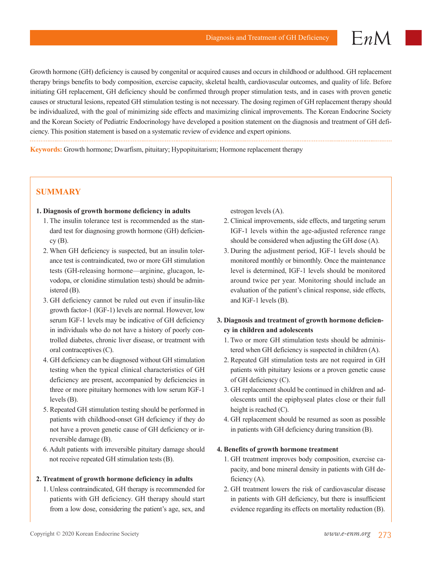$EnM$ 

Growth hormone (GH) deficiency is caused by congenital or acquired causes and occurs in childhood or adulthood. GH replacement therapy brings benefits to body composition, exercise capacity, skeletal health, cardiovascular outcomes, and quality of life. Before initiating GH replacement, GH deficiency should be confirmed through proper stimulation tests, and in cases with proven genetic causes or structural lesions, repeated GH stimulation testing is not necessary. The dosing regimen of GH replacement therapy should be individualized, with the goal of minimizing side effects and maximizing clinical improvements. The Korean Endocrine Society and the Korean Society of Pediatric Endocrinology have developed a position statement on the diagnosis and treatment of GH deficiency. This position statement is based on a systematic review of evidence and expert opinions.

**Keywords:** Growth hormone; Dwarfism, pituitary; Hypopituitarism; Hormone replacement therapy

# **SUMMARY**

## **1. Diagnosis of growth hormone deficiency in adults**

- 1. The insulin tolerance test is recommended as the standard test for diagnosing growth hormone (GH) deficien $cy(B)$ .
- 2. When GH deficiency is suspected, but an insulin tolerance test is contraindicated, two or more GH stimulation tests (GH-releasing hormone—arginine, glucagon, levodopa, or clonidine stimulation tests) should be administered (B).
- 3. GH deficiency cannot be ruled out even if insulin-like growth factor-1 (IGF-1) levels are normal. However, low serum IGF-1 levels may be indicative of GH deficiency in individuals who do not have a history of poorly controlled diabetes, chronic liver disease, or treatment with oral contraceptives (C).
- 4. GH deficiency can be diagnosed without GH stimulation testing when the typical clinical characteristics of GH deficiency are present, accompanied by deficiencies in three or more pituitary hormones with low serum IGF-1 levels (B).
- 5. Repeated GH stimulation testing should be performed in patients with childhood-onset GH deficiency if they do not have a proven genetic cause of GH deficiency or irreversible damage (B).
- 6. Adult patients with irreversible pituitary damage should not receive repeated GH stimulation tests (B).

#### **2. Treatment of growth hormone deficiency in adults**

1. Unless contraindicated, GH therapy is recommended for patients with GH deficiency. GH therapy should start from a low dose, considering the patient's age, sex, and estrogen levels (A).

- 2. Clinical improvements, side effects, and targeting serum IGF-1 levels within the age-adjusted reference range should be considered when adjusting the GH dose (A).
- 3. During the adjustment period, IGF-1 levels should be monitored monthly or bimonthly. Once the maintenance level is determined, IGF-1 levels should be monitored around twice per year. Monitoring should include an evaluation of the patient's clinical response, side effects, and IGF-1 levels (B).

## **3. Diagnosis and treatment of growth hormone deficiency in children and adolescents**

- 1. Two or more GH stimulation tests should be administered when GH deficiency is suspected in children (A).
- 2. Repeated GH stimulation tests are not required in GH patients with pituitary lesions or a proven genetic cause of GH deficiency (C).
- 3. GH replacement should be continued in children and adolescents until the epiphyseal plates close or their full height is reached (C).
- 4. GH replacement should be resumed as soon as possible in patients with GH deficiency during transition (B).

#### **4. Benefits of growth hormone treatment**

- 1. GH treatment improves body composition, exercise capacity, and bone mineral density in patients with GH deficiency (A).
- 2. GH treatment lowers the risk of cardiovascular disease in patients with GH deficiency, but there is insufficient evidence regarding its effects on mortality reduction (B).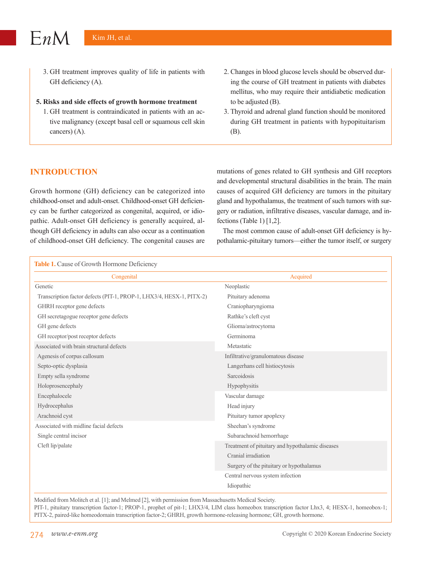3. GH treatment improves quality of life in patients with GH deficiency (A).

#### **5. Risks and side effects of growth hormone treatment**

- 1. GH treatment is contraindicated in patients with an active malignancy (except basal cell or squamous cell skin cancers) (A).
- 2. Changes in blood glucose levels should be observed during the course of GH treatment in patients with diabetes mellitus, who may require their antidiabetic medication to be adjusted (B).
- 3. Thyroid and adrenal gland function should be monitored during GH treatment in patients with hypopituitarism (B).

# **INTRODUCTION**

Growth hormone (GH) deficiency can be categorized into childhood-onset and adult-onset. Childhood-onset GH deficiency can be further categorized as congenital, acquired, or idiopathic. Adult-onset GH deficiency is generally acquired, although GH deficiency in adults can also occur as a continuation of childhood-onset GH deficiency. The congenital causes are mutations of genes related to GH synthesis and GH receptors and developmental structural disabilities in the brain. The main causes of acquired GH deficiency are tumors in the pituitary gland and hypothalamus, the treatment of such tumors with surgery or radiation, infiltrative diseases, vascular damage, and infections (Table 1) [1,2].

The most common cause of adult-onset GH deficiency is hypothalamic-pituitary tumors—either the tumor itself, or surgery

| Table 1. Cause of Growth Hormone Deficiency                          |                                                  |  |  |  |
|----------------------------------------------------------------------|--------------------------------------------------|--|--|--|
| Congenital                                                           | Acquired                                         |  |  |  |
| Genetic                                                              | Neoplastic                                       |  |  |  |
| Transcription factor defects (PIT-1, PROP-1, LHX3/4, HESX-1, PITX-2) | Pituitary adenoma                                |  |  |  |
| GHRH receptor gene defects                                           | Craniopharyngioma                                |  |  |  |
| GH secretagogue receptor gene defects                                | Rathke's cleft cyst                              |  |  |  |
| GH gene defects                                                      | Glioma/astrocytoma                               |  |  |  |
| GH receptor/post receptor defects                                    | Germinoma                                        |  |  |  |
| Associated with brain structural defects                             | Metastatic                                       |  |  |  |
| Agenesis of corpus callosum                                          | Infiltrative/granulomatous disease               |  |  |  |
| Septo-optic dysplasia                                                | Langerhans cell histiocytosis                    |  |  |  |
| Empty sella syndrome                                                 | Sarcoidosis                                      |  |  |  |
| Holoprosencephaly                                                    | Hypophysitis                                     |  |  |  |
| Encephalocele                                                        | Vascular damage                                  |  |  |  |
| Hydrocephalus                                                        | Head injury                                      |  |  |  |
| Arachnoid cyst                                                       | Pituitary tumor apoplexy                         |  |  |  |
| Associated with midline facial defects                               | Sheehan's syndrome                               |  |  |  |
| Single central incisor                                               | Subarachnoid hemorrhage                          |  |  |  |
| Cleft lip/palate                                                     | Treatment of pituitary and hypothalamic diseases |  |  |  |
|                                                                      | Cranial irradiation                              |  |  |  |
|                                                                      | Surgery of the pituitary or hypothalamus         |  |  |  |
|                                                                      | Central nervous system infection                 |  |  |  |
|                                                                      | Idiopathic                                       |  |  |  |

Modified from Molitch et al. [1]; and Melmed [2], with permission from Massachusetts Medical Society.

PIT-1, pituitary transcription factor-1; PROP-1, prophet of pit-1; LHX3/4, LIM class homeobox transcription factor Lhx3, 4; HESX-1, homeobox-1; PITX-2, paired-like homeodomain transcription factor-2; GHRH, growth hormone-releasing hormone; GH, growth hormone.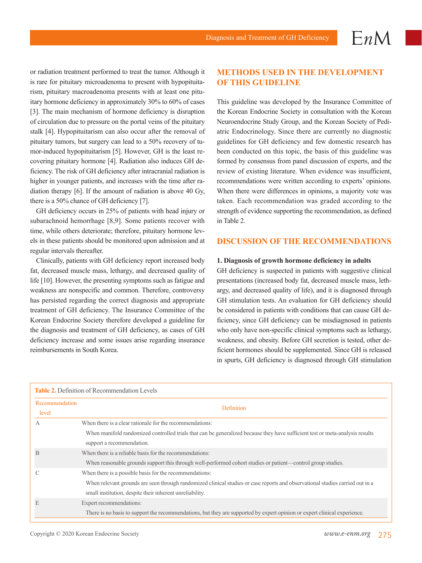or radiation treatment performed to treat the tumor. Although it is rare for pituitary microadenoma to present with hypopituitarism, pituitary macroadenoma presents with at least one pituitary hormone deficiency in approximately 30% to 60% of cases [3]. The main mechanism of hormone deficiency is disruption of circulation due to pressure on the portal veins of the pituitary stalk [4]. Hypopituitarism can also occur after the removal of pituitary tumors, but surgery can lead to a 50% recovery of tumor-induced hypopituitarism [5]. However, GH is the least recovering pituitary hormone [4]. Radiation also induces GH deficiency. The risk of GH deficiency after intracranial radiation is higher in younger patients, and increases with the time after radiation therapy [6]. If the amount of radiation is above 40 Gy, there is a 50% chance of GH deficiency [7].

GH deficiency occurs in 25% of patients with head injury or subarachnoid hemorrhage [8,9]. Some patients recover with time, while others deteriorate; therefore, pituitary hormone levels in these patients should be monitored upon admission and at regular intervals thereafter.

Clinically, patients with GH deficiency report increased body fat, decreased muscle mass, lethargy, and decreased quality of life [10]. However, the presenting symptoms such as fatigue and weakness are nonspecific and common. Therefore, controversy has persisted regarding the correct diagnosis and appropriate treatment of GH deficiency. The Insurance Committee of the Korean Endocrine Society therefore developed a guideline for the diagnosis and treatment of GH deficiency, as cases of GH deficiency increase and some issues arise regarding insurance reimbursements in South Korea.

# **METHODS USED IN THE DEVELOPMENT OF THIS GUIDELINE**

 $EnM$ 

This guideline was developed by the Insurance Committee of the Korean Endocrine Society in consultation with the Korean Neuroendocrine Study Group, and the Korean Society of Pediatric Endocrinology. Since there are currently no diagnostic guidelines for GH deficiency and few domestic research has been conducted on this topic, the basis of this guideline was formed by consensus from panel discussion of experts, and the review of existing literature. When evidence was insufficient, recommendations were written according to experts' opinions. When there were differences in opinions, a majority vote was taken. Each recommendation was graded according to the strength of evidence supporting the recommendation, as defined in Table 2.

## **DISCUSSION OF THE RECOMMENDATIONS**

#### **1. Diagnosis of growth hormone deficiency in adults**

GH deficiency is suspected in patients with suggestive clinical presentations (increased body fat, decreased muscle mass, lethargy, and decreased quality of life), and it is diagnosed through GH stimulation tests. An evaluation for GH deficiency should be considered in patients with conditions that can cause GH deficiency, since GH deficiency can be misdiagnosed in patients who only have non-specific clinical symptoms such as lethargy, weakness, and obesity. Before GH secretion is tested, other deficient hormones should be supplemented. Since GH is released in spurts, GH deficiency is diagnosed through GH stimulation

| <b>Table 2.</b> Definition of Recommendation Levels |                                                                                                                                                            |  |  |
|-----------------------------------------------------|------------------------------------------------------------------------------------------------------------------------------------------------------------|--|--|
| Recommendation<br>level                             | <b>Definition</b>                                                                                                                                          |  |  |
| $\mathsf{A}$                                        | When there is a clear rationale for the recommendations:                                                                                                   |  |  |
|                                                     | When manifold randomized controlled trials that can be generalized because they have sufficient test or meta-analysis results<br>support a recommendation. |  |  |
| B                                                   | When there is a reliable basis for the recommendations:                                                                                                    |  |  |
|                                                     | When reasonable grounds support this through well-performed cohort studies or patient—control group studies.                                               |  |  |
|                                                     | When there is a possible basis for the recommendations:                                                                                                    |  |  |
|                                                     | When relevant grounds are seen through randomized clinical studies or case reports and observational studies carried out in a                              |  |  |
|                                                     | small institution, despite their inherent unreliability.                                                                                                   |  |  |
| E                                                   | Expert recommendations:                                                                                                                                    |  |  |
|                                                     | There is no basis to support the recommendations, but they are supported by expert opinion or expert clinical experience.                                  |  |  |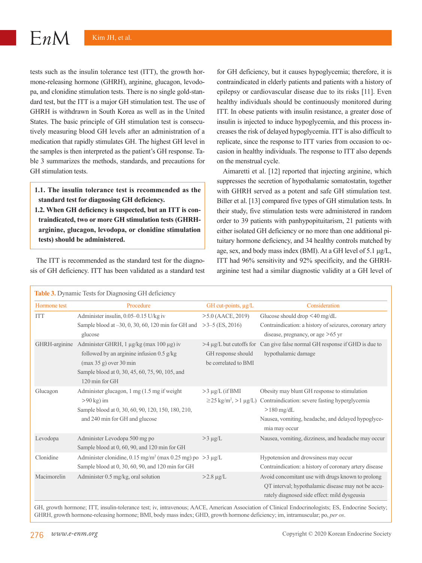$EnM$ 

tests such as the insulin tolerance test (ITT), the growth hormone-releasing hormone (GHRH), arginine, glucagon, levodopa, and clonidine stimulation tests. There is no single gold-standard test, but the ITT is a major GH stimulation test. The use of GHRH is withdrawn in South Korea as well as in the United States. The basic principle of GH stimulation test is consecutively measuring blood GH levels after an administration of a medication that rapidly stimulates GH. The highest GH level in the samples is then interpreted as the patient's GH response. Table 3 summarizes the methods, standards, and precautions for GH stimulation tests.

- **1.1. The insulin tolerance test is recommended as the standard test for diagnosing GH deficiency.**
- **1.2. When GH deficiency is suspected, but an ITT is contraindicated, two or more GH stimulation tests (GHRHarginine, glucagon, levodopa, or clonidine stimulation tests) should be administered.**

The ITT is recommended as the standard test for the diagnosis of GH deficiency. ITT has been validated as a standard test

for GH deficiency, but it causes hypoglycemia; therefore, it is contraindicated in elderly patients and patients with a history of epilepsy or cardiovascular disease due to its risks [11]. Even healthy individuals should be continuously monitored during ITT. In obese patients with insulin resistance, a greater dose of insulin is injected to induce hypoglycemia, and this process increases the risk of delayed hypoglycemia. ITT is also difficult to replicate, since the response to ITT varies from occasion to occasion in healthy individuals. The response to ITT also depends on the menstrual cycle.

Aimaretti et al. [12] reported that injecting arginine, which suppresses the secretion of hypothalamic somatostatin, together with GHRH served as a potent and safe GH stimulation test. Biller et al. [13] compared five types of GH stimulation tests. In their study, five stimulation tests were administered in random order to 39 patients with panhypopituitarism, 21 patients with either isolated GH deficiency or no more than one additional pituitary hormone deficiency, and 34 healthy controls matched by age, sex, and body mass index (BMI). At a GH level of 5.1 μg/L, ITT had 96% sensitivity and 92% specificity, and the GHRHarginine test had a similar diagnostic validity at a GH level of

| Table 3. Dynamic Tests for Diagnosing GH deficiency |                                                                                                                                                                                        |                                            |                                                                                                                                                                                                                              |  |
|-----------------------------------------------------|----------------------------------------------------------------------------------------------------------------------------------------------------------------------------------------|--------------------------------------------|------------------------------------------------------------------------------------------------------------------------------------------------------------------------------------------------------------------------------|--|
| Hormone test                                        | Procedure                                                                                                                                                                              | GH cut-points, µg/L                        | Consideration                                                                                                                                                                                                                |  |
| <b>ITT</b>                                          | Administer insulin, 0.05-0.15 U/kg iv<br>Sample blood at $-30$ , 0, 30, 60, 120 min for GH and<br>glucose                                                                              | $>5.0$ (AACE, 2019)<br>$>3-5$ (ES, 2016)   | Glucose should drop $<$ 40 mg/dL<br>Contraindication: a history of seizures, coronary artery<br>disease, pregnancy, or age $>65$ yr                                                                                          |  |
| GHRH-arginine                                       | Administer GHRH, 1 μg/kg (max 100 μg) iv<br>followed by an arginine infusion $0.5$ g/kg<br>(max 35 g) over 30 min<br>Sample blood at 0, 30, 45, 60, 75, 90, 105, and<br>120 min for GH | GH response should<br>be correlated to BMI | $>4 \mu g/L$ but cutoffs for Can give false normal GH response if GHD is due to<br>hypothalamic damage                                                                                                                       |  |
| Glucagon                                            | Administer glucagon, 1 mg (1.5 mg if weight<br>$>90$ kg) im<br>Sample blood at 0, 30, 60, 90, 120, 150, 180, 210,<br>and 240 min for GH and glucose                                    | $>3 \mu$ g/L (if BMI                       | Obesity may blunt GH response to stimulation<br>$\geq$ 25 kg/m <sup>2</sup> , >1 µg/L) Contraindication: severe fasting hyperglycemia<br>$>180$ mg/dL<br>Nausea, vomiting, headache, and delayed hypoglyce-<br>mia may occur |  |
| Levodopa                                            | Administer Levodopa 500 mg po<br>Sample blood at 0, 60, 90, and 120 min for GH                                                                                                         | $>3 \mu g/L$                               | Nausea, vomiting, dizziness, and headache may occur                                                                                                                                                                          |  |
| Clonidine                                           | Administer clonidine, 0.15 mg/m <sup>2</sup> (max 0.25 mg) po $>3 \mu g/L$<br>Sample blood at 0, 30, 60, 90, and 120 min for GH                                                        |                                            | Hypotension and drowsiness may occur<br>Contraindication: a history of coronary artery disease                                                                                                                               |  |
| Macimorelin                                         | Administer 0.5 mg/kg, oral solution                                                                                                                                                    | $>2.8 \mu g/L$                             | Avoid concomitant use with drugs known to prolong<br>QT interval; hypothalamic disease may not be accu-<br>rately diagnosed side effect: mild dysgeusia                                                                      |  |

GH, growth hormone; ITT, insulin-tolerance test; iv, intravenous; AACE, American Association of Clinical Endocrinologists; ES, Endocrine Society; GHRH, growth hormone-releasing hormone; BMI, body mass index; GHD, growth hormone deficiency; im, intramuscular; po, *per os*.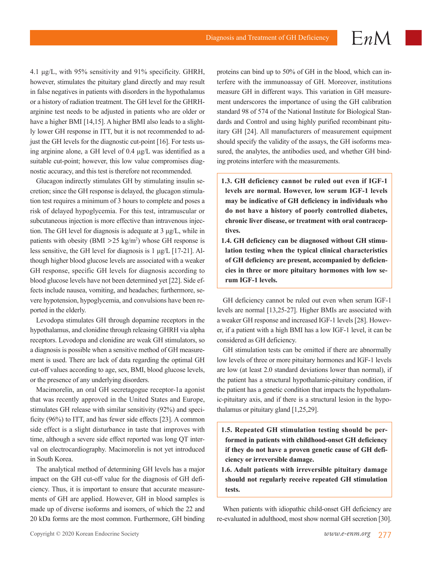$EnM$ 

4.1 μg/L, with 95% sensitivity and 91% specificity. GHRH, however, stimulates the pituitary gland directly and may result in false negatives in patients with disorders in the hypothalamus or a history of radiation treatment. The GH level for the GHRHarginine test needs to be adjusted in patients who are older or have a higher BMI [14,15]. A higher BMI also leads to a slightly lower GH response in ITT, but it is not recommended to adjust the GH levels for the diagnostic cut-point [16]. For tests using arginine alone, a GH level of 0.4 μg/L was identified as a suitable cut-point; however, this low value compromises diagnostic accuracy, and this test is therefore not recommended.

Glucagon indirectly stimulates GH by stimulating insulin secretion; since the GH response is delayed, the glucagon stimulation test requires a minimum of 3 hours to complete and poses a risk of delayed hypoglycemia. For this test, intramuscular or subcutaneous injection is more effective than intravenous injection. The GH level for diagnosis is adequate at 3 μg/L, while in patients with obesity ( $BMI > 25$  kg/m<sup>2</sup>) whose GH response is less sensitive, the GH level for diagnosis is 1 μg/L [17-21]. Although higher blood glucose levels are associated with a weaker GH response, specific GH levels for diagnosis according to blood glucose levels have not been determined yet [22]. Side effects include nausea, vomiting, and headaches; furthermore, severe hypotension, hypoglycemia, and convulsions have been reported in the elderly.

Levodopa stimulates GH through dopamine receptors in the hypothalamus, and clonidine through releasing GHRH via alpha receptors. Levodopa and clonidine are weak GH stimulators, so a diagnosis is possible when a sensitive method of GH measurement is used. There are lack of data regarding the optimal GH cut-off values according to age, sex, BMI, blood glucose levels, or the presence of any underlying disorders.

Macimorelin, an oral GH secretagogue receptor-1a agonist that was recently approved in the United States and Europe, stimulates GH release with similar sensitivity (92%) and specificity (96%) to ITT, and has fewer side effects [23]. A common side effect is a slight disturbance in taste that improves with time, although a severe side effect reported was long QT interval on electrocardiography. Macimorelin is not yet introduced in South Korea.

The analytical method of determining GH levels has a major impact on the GH cut-off value for the diagnosis of GH deficiency. Thus, it is important to ensure that accurate measurements of GH are applied. However, GH in blood samples is made up of diverse isoforms and isomers, of which the 22 and 20 kDa forms are the most common. Furthermore, GH binding proteins can bind up to 50% of GH in the blood, which can interfere with the immunoassay of GH. Moreover, institutions measure GH in different ways. This variation in GH measurement underscores the importance of using the GH calibration standard 98 of 574 of the National Institute for Biological Standards and Control and using highly purified recombinant pituitary GH [24]. All manufacturers of measurement equipment should specify the validity of the assays, the GH isoforms measured, the analytes, the antibodies used, and whether GH binding proteins interfere with the measurements.

- **1.3. GH deficiency cannot be ruled out even if IGF-1 levels are normal. However, low serum IGF-1 levels may be indicative of GH deficiency in individuals who do not have a history of poorly controlled diabetes, chronic liver disease, or treatment with oral contraceptives.**
- **1.4. GH deficiency can be diagnosed without GH stimulation testing when the typical clinical characteristics of GH deficiency are present, accompanied by deficiencies in three or more pituitary hormones with low serum IGF-1 levels.**

GH deficiency cannot be ruled out even when serum IGF-1 levels are normal [13,25-27]. Higher BMIs are associated with a weaker GH response and increased IGF-1 levels [28]. However, if a patient with a high BMI has a low IGF-1 level, it can be considered as GH deficiency.

GH stimulation tests can be omitted if there are abnormally low levels of three or more pituitary hormones and IGF-1 levels are low (at least 2.0 standard deviations lower than normal), if the patient has a structural hypothalamic-pituitary condition, if the patient has a genetic condition that impacts the hypothalamic-pituitary axis, and if there is a structural lesion in the hypothalamus or pituitary gland [1,25,29].

- **1.5. Repeated GH stimulation testing should be performed in patients with childhood-onset GH deficiency if they do not have a proven genetic cause of GH deficiency or irreversible damage.**
- **1.6. Adult patients with irreversible pituitary damage should not regularly receive repeated GH stimulation tests.**

When patients with idiopathic child-onset GH deficiency are re-evaluated in adulthood, most show normal GH secretion [30].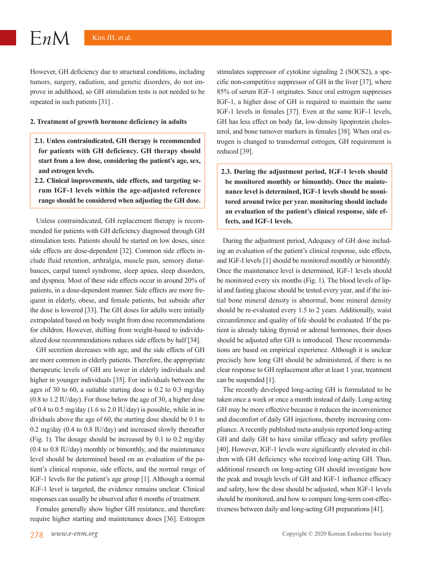However, GH deficiency due to structural conditions, including tumors, surgery, radiation, and genetic disorders, do not improve in adulthood, so GH stimulation tests is not needed to be repeated in such patients [31] .

#### **2. Treatment of growth hormone deficiency in adults**

- **2.1. Unless contraindicated, GH therapy is recommended for patients with GH deficiency. GH therapy should start from a low dose, considering the patient's age, sex, and estrogen levels.**
- **2.2. Clinical improvements, side effects, and targeting serum IGF-1 levels within the age-adjusted reference range should be considered when adjusting the GH dose.**

Unless contraindicated, GH replacement therapy is recommended for patients with GH deficiency diagnosed through GH stimulation tests. Patients should be started on low doses, since side effects are dose-dependent [32]. Common side effects include fluid retention, arthralgia, muscle pain, sensory disturbances, carpal tunnel syndrome, sleep apnea, sleep disorders, and dyspnea. Most of these side effects occur in around 20% of patients, in a dose-dependent manner. Side effects are more frequent in elderly, obese, and female patients, but subside after the dose is lowered [33]. The GH doses for adults were initially extrapolated based on body weight from dose recommendations for children. However, shifting from weight-based to individualized dose recommendations reduces side effects by half [34].

GH secretion decreases with age, and the side effects of GH are more common in elderly patients. Therefore, the appropriate therapeutic levels of GH are lower in elderly individuals and higher in younger individuals [35]. For individuals between the ages of 30 to 60, a suitable starting dose is 0.2 to 0.3 mg/day (0.8 to 1.2 IU/day). For those below the age of 30, a higher dose of 0.4 to 0.5 mg/day (1.6 to 2.0 IU/day) is possible, while in individuals above the age of 60, the starting dose should be 0.1 to 0.2 mg/day (0.4 to 0.8 IU/day) and increased slowly thereafter (Fig. 1). The dosage should be increased by 0.1 to 0.2 mg/day (0.4 to 0.8 IU/day) monthly or bimonthly, and the maintenance level should be determined based on an evaluation of the patient's clinical response, side effects, and the normal range of IGF-1 levels for the patient's age group [1]. Although a normal IGF-1 level is targeted, the evidence remains unclear. Clinical responses can usually be observed after 6 months of treatment.

Females generally show higher GH resistance, and therefore require higher starting and maintenance doses [36]. Estrogen

stimulates suppressor of cytokine signaling 2 (SOCS2), a specific non-competitive suppressor of GH in the liver [37], where 85% of serum IGF-1 originates. Since oral estrogen suppresses IGF-1, a higher dose of GH is required to maintain the same IGF-1 levels in females [37]. Even at the same IGF-1 levels, GH has less effect on body fat, low-density lipoprotein cholesterol, and bone turnover markers in females [38]. When oral estrogen is changed to transdermal estrogen, GH requirement is reduced [39].

**2.3. During the adjustment period, IGF-1 levels should be monitored monthly or bimonthly. Once the maintenance level is determined, IGF-1 levels should be monitored around twice per year. monitoring should include an evaluation of the patient's clinical response, side effects, and IGF-1 levels.**

During the adjustment period, Adequacy of GH dose including an evaluation of the patient's clinical response, side effects, and IGF-I levels [1] should be monitored monthly or bimonthly. Once the maintenance level is determined, IGF-1 levels should be monitored every six months (Fig. 1). The blood levels of lipid and fasting glucose should be tested every year, and if the initial bone mineral density is abnormal, bone mineral density should be re-evaluated every 1.5 to 2 years. Additionally, waist circumference and quality of life should be evaluated. If the patient is already taking thyroid or adrenal hormones, their doses should be adjusted after GH is introduced. These recommendations are based on empirical experience. Although it is unclear precisely how long GH should be administered, if there is no clear response to GH replacement after at least 1 year, treatment can be suspended [1].

The recently developed long-acting GH is formulated to be taken once a week or once a month instead of daily. Long-acting GH may be more effective because it reduces the inconvenience and discomfort of daily GH injections, thereby increasing compliance. A recently published meta-analysis reported long-acting GH and daily GH to have similar efficacy and safety profiles [40]. However, IGF-1 levels were significantly elevated in children with GH deficiency who received long-acting GH. Thus, additional research on long-acting GH should investigate how the peak and trough levels of GH and IGF-1 influence efficacy and safety, how the dose should be adjusted, when IGF-1 levels should be monitored, and how to compare long-term cost-effectiveness between daily and long-acting GH preparations [41].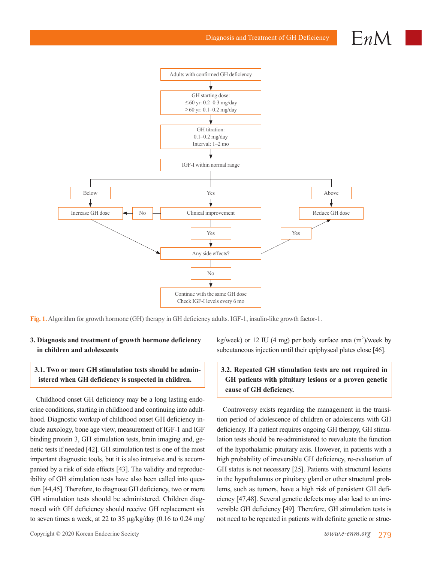Diagnosis and Treatment of GH Deficiency

 $\vdash n$ 



**Fig. 1.** Algorithm for growth hormone (GH) therapy in GH deficiency adults. IGF-1, insulin-like growth factor-1.

## **3. Diagnosis and treatment of growth hormone deficiency in children and adolescents**

# **3.1. Two or more GH stimulation tests should be administered when GH deficiency is suspected in children.**

Childhood onset GH deficiency may be a long lasting endocrine conditions, starting in childhood and continuing into adulthood. Diagnostic workup of childhood onset GH deficiency include auxology, bone age view, measurement of IGF-1 and IGF binding protein 3, GH stimulation tests, brain imaging and, genetic tests if needed [42]. GH stimulation test is one of the most important diagnostic tools, but it is also intrusive and is accompanied by a risk of side effects [43]. The validity and reproducibility of GH stimulation tests have also been called into question [44,45]. Therefore, to diagnose GH deficiency, two or more GH stimulation tests should be administered. Children diagnosed with GH deficiency should receive GH replacement six to seven times a week, at 22 to 35  $\mu$ g/kg/day (0.16 to 0.24 mg/

 $kg/week$ ) or 12 IU (4 mg) per body surface area  $(m<sup>2</sup>)/week$  by subcutaneous injection until their epiphyseal plates close [46].

# **3.2. Repeated GH stimulation tests are not required in GH patients with pituitary lesions or a proven genetic cause of GH deficiency.**

Controversy exists regarding the management in the transition period of adolescence of children or adolescents with GH deficiency. If a patient requires ongoing GH therapy, GH stimulation tests should be re-administered to reevaluate the function of the hypothalamic-pituitary axis. However, in patients with a high probability of irreversible GH deficiency, re-evaluation of GH status is not necessary [25]. Patients with structural lesions in the hypothalamus or pituitary gland or other structural problems, such as tumors, have a high risk of persistent GH deficiency [47,48]. Several genetic defects may also lead to an irreversible GH deficiency [49]. Therefore, GH stimulation tests is not need to be repeated in patients with definite genetic or struc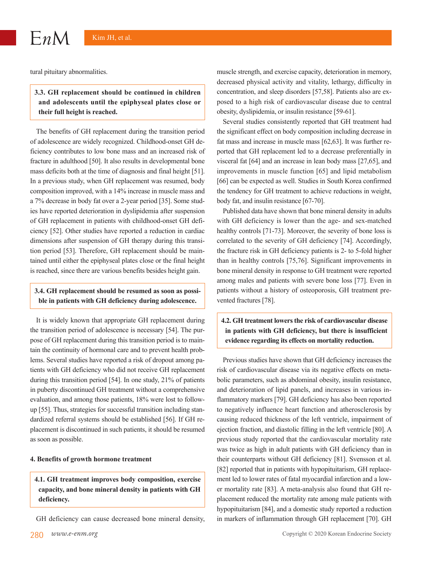tural pituitary abnormalities.

# **3.3. GH replacement should be continued in children and adolescents until the epiphyseal plates close or their full height is reached.**

The benefits of GH replacement during the transition period of adolescence are widely recognized. Childhood-onset GH deficiency contributes to low bone mass and an increased risk of fracture in adulthood [50]. It also results in developmental bone mass deficits both at the time of diagnosis and final height [51]. In a previous study, when GH replacement was resumed, body composition improved, with a 14% increase in muscle mass and a 7% decrease in body fat over a 2-year period [35]. Some studies have reported deterioration in dyslipidemia after suspension of GH replacement in patients with childhood-onset GH deficiency [52]. Other studies have reported a reduction in cardiac dimensions after suspension of GH therapy during this transition period [53]. Therefore, GH replacement should be maintained until either the epiphyseal plates close or the final height is reached, since there are various benefits besides height gain.

## **3.4. GH replacement should be resumed as soon as possible in patients with GH deficiency during adolescence.**

It is widely known that appropriate GH replacement during the transition period of adolescence is necessary [54]. The purpose of GH replacement during this transition period is to maintain the continuity of hormonal care and to prevent health problems. Several studies have reported a risk of dropout among patients with GH deficiency who did not receive GH replacement during this transition period [54]. In one study, 21% of patients in puberty discontinued GH treatment without a comprehensive evaluation, and among those patients, 18% were lost to followup [55]. Thus, strategies for successful transition including standardized referral systems should be established [56]. If GH replacement is discontinued in such patients, it should be resumed as soon as possible.

#### **4. Benefits of growth hormone treatment**

**4.1. GH treatment improves body composition, exercise capacity, and bone mineral density in patients with GH deficiency.**

GH deficiency can cause decreased bone mineral density,

muscle strength, and exercise capacity, deterioration in memory, decreased physical activity and vitality, lethargy, difficulty in concentration, and sleep disorders [57,58]. Patients also are exposed to a high risk of cardiovascular disease due to central obesity, dyslipidemia, or insulin resistance [59-61].

Several studies consistently reported that GH treatment had the significant effect on body composition including decrease in fat mass and increase in muscle mass [62,63]. It was further reported that GH replacement led to a decrease preferentially in visceral fat [64] and an increase in lean body mass [27,65], and improvements in muscle function [65] and lipid metabolism [66] can be expected as well. Studies in South Korea confirmed the tendency for GH treatment to achieve reductions in weight, body fat, and insulin resistance [67-70].

Published data have shown that bone mineral density in adults with GH deficiency is lower than the age- and sex-matched healthy controls [71-73]. Moreover, the severity of bone loss is correlated to the severity of GH deficiency [74]. Accordingly, the fracture risk in GH deficiency patients is 2- to 5-fold higher than in healthy controls [75,76]. Significant improvements in bone mineral density in response to GH treatment were reported among males and patients with severe bone loss [77]. Even in patients without a history of osteoporosis, GH treatment prevented fractures [78].

**4.2. GH treatment lowers the risk of cardiovascular disease in patients with GH deficiency, but there is insufficient evidence regarding its effects on mortality reduction.**

Previous studies have shown that GH deficiency increases the risk of cardiovascular disease via its negative effects on metabolic parameters, such as abdominal obesity, insulin resistance, and deterioration of lipid panels, and increases in various inflammatory markers [79]. GH deficiency has also been reported to negatively influence heart function and atherosclerosis by causing reduced thickness of the left ventricle, impairment of ejection fraction, and diastolic filling in the left ventricle [80]. A previous study reported that the cardiovascular mortality rate was twice as high in adult patients with GH deficiency than in their counterparts without GH deficiency [81]. Svensson et al. [82] reported that in patients with hypopituitarism, GH replacement led to lower rates of fatal myocardial infarction and a lower mortality rate [83]. A meta-analysis also found that GH replacement reduced the mortality rate among male patients with hypopituitarism [84], and a domestic study reported a reduction in markers of inflammation through GH replacement [70]. GH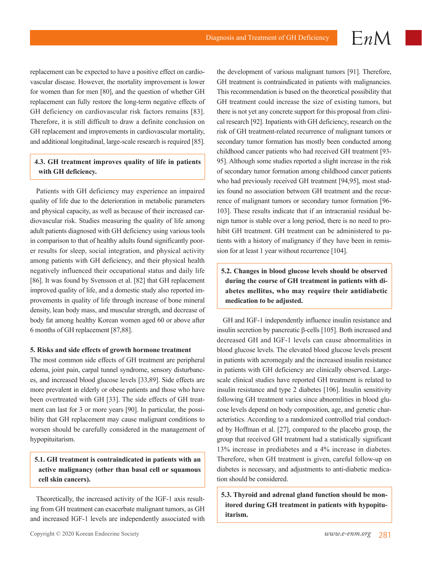replacement can be expected to have a positive effect on cardiovascular disease. However, the mortality improvement is lower for women than for men [80], and the question of whether GH replacement can fully restore the long-term negative effects of GH deficiency on cardiovascular risk factors remains [83]. Therefore, it is still difficult to draw a definite conclusion on GH replacement and improvements in cardiovascular mortality, and additional longitudinal, large-scale research is required [85].

## **4.3. GH treatment improves quality of life in patients with GH deficiency.**

Patients with GH deficiency may experience an impaired quality of life due to the deterioration in metabolic parameters and physical capacity, as well as because of their increased cardiovascular risk. Studies measuring the quality of life among adult patients diagnosed with GH deficiency using various tools in comparison to that of healthy adults found significantly poorer results for sleep, social integration, and physical activity among patients with GH deficiency, and their physical health negatively influenced their occupational status and daily life [86]. It was found by Svensson et al. [82] that GH replacement improved quality of life, and a domestic study also reported improvements in quality of life through increase of bone mineral density, lean body mass, and muscular strength, and decrease of body fat among healthy Korean women aged 60 or above after 6 months of GH replacement [87,88].

#### **5. Risks and side effects of growth hormone treatment**

The most common side effects of GH treatment are peripheral edema, joint pain, carpal tunnel syndrome, sensory disturbances, and increased blood glucose levels [33,89]. Side effects are more prevalent in elderly or obese patients and those who have been overtreated with GH [33]. The side effects of GH treatment can last for 3 or more years [90]. In particular, the possibility that GH replacement may cause malignant conditions to worsen should be carefully considered in the management of hypopituitarism.

# **5.1. GH treatment is contraindicated in patients with an active malignancy (other than basal cell or squamous cell skin cancers).**

Theoretically, the increased activity of the IGF-1 axis resulting from GH treatment can exacerbate malignant tumors, as GH and increased IGF-1 levels are independently associated with the development of various malignant tumors [91]. Therefore, GH treatment is contraindicated in patients with malignancies. This recommendation is based on the theoretical possibility that GH treatment could increase the size of existing tumors, but there is not yet any concrete support for this proposal from clinical research [92]. Inpatients with GH deficiency, research on the risk of GH treatment-related recurrence of malignant tumors or secondary tumor formation has mostly been conducted among childhood cancer patients who had received GH treatment [93- 95]. Although some studies reported a slight increase in the risk of secondary tumor formation among childhood cancer patients who had previously received GH treatment [94,95], most studies found no association between GH treatment and the recurrence of malignant tumors or secondary tumor formation [96- 103]. These results indicate that if an intracranial residual benign tumor is stable over a long period, there is no need to prohibit GH treatment. GH treatment can be administered to patients with a history of malignancy if they have been in remission for at least 1 year without recurrence [104].

 $EnM$ 

# **5.2. Changes in blood glucose levels should be observed during the course of GH treatment in patients with diabetes mellitus, who may require their antidiabetic medication to be adjusted.**

GH and IGF-1 independently influence insulin resistance and insulin secretion by pancreatic β-cells [105]. Both increased and decreased GH and IGF-1 levels can cause abnormalities in blood glucose levels. The elevated blood glucose levels present in patients with acromegaly and the increased insulin resistance in patients with GH deficiency are clinically observed. Largescale clinical studies have reported GH treatment is related to insulin resistance and type 2 diabetes [106]. Insulin sensitivity following GH treatment varies since abnormlities in blood glucose levels depend on body composition, age, and genetic characteristics. According to a randomized controlled trial conducted by Hoffman et al. [27], compared to the placebo group, the group that received GH treatment had a statistically significant 13% increase in prediabetes and a 4% increase in diabetes. Therefore, when GH treatment is given, careful follow-up on diabetes is necessary, and adjustments to anti-diabetic medication should be considered.

**5.3. Thyroid and adrenal gland function should be monitored during GH treatment in patients with hypopituitarism.**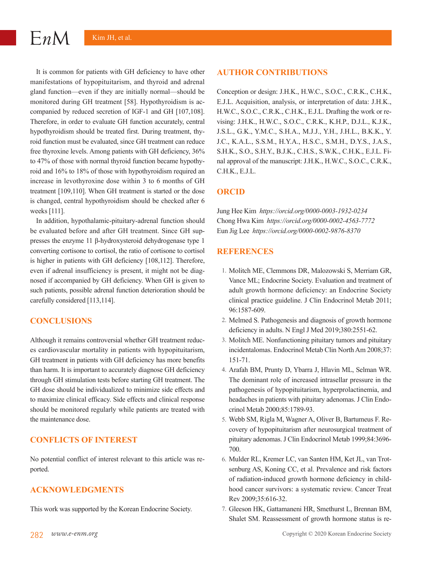It is common for patients with GH deficiency to have other manifestations of hypopituitarism, and thyroid and adrenal gland function—even if they are initially normal—should be monitored during GH treatment [58]. Hypothyroidism is accompanied by reduced secretion of IGF-1 and GH [107,108]. Therefore, in order to evaluate GH function accurately, central hypothyroidism should be treated first. During treatment, thyroid function must be evaluated, since GH treatment can reduce free thyroxine levels. Among patients with GH deficiency, 36% to 47% of those with normal thyroid function became hypothyroid and 16% to 18% of those with hypothyroidism required an increase in levothyroxine dose within 3 to 6 months of GH treatment [109,110]. When GH treatment is started or the dose is changed, central hypothyroidism should be checked after 6 weeks [111].

In addition, hypothalamic-pituitary-adrenal function should be evaluated before and after GH treatment. Since GH suppresses the enzyme 11 β-hydroxysteroid dehydrogenase type 1 converting cortisone to cortisol, the ratio of cortisone to cortisol is higher in patients with GH deficiency [108,112]. Therefore, even if adrenal insufficiency is present, it might not be diagnosed if accompanied by GH deficiency. When GH is given to such patients, possible adrenal function deterioration should be carefully considered [113,114].

## **CONCLUSIONS**

Although it remains controversial whether GH treatment reduces cardiovascular mortality in patients with hypopituitarism, GH treatment in patients with GH deficiency has more benefits than harm. It is important to accurately diagnose GH deficiency through GH stimulation tests before starting GH treatment. The GH dose should be individualized to minimize side effects and to maximize clinical efficacy. Side effects and clinical response should be monitored regularly while patients are treated with the maintenance dose.

# **CONFLICTS OF INTEREST**

No potential conflict of interest relevant to this article was reported.

## **ACKNOWLEDGMENTS**

This work was supported by the Korean Endocrine Society.

### **AUTHOR CONTRIBUTIONS**

Conception or design: J.H.K., H.W.C., S.O.C., C.R.K., C.H.K., E.J.L. Acquisition, analysis, or interpretation of data: J.H.K., H.W.C., S.O.C., C.R.K., C.H.K., E.J.L. Drafting the work or revising: J.H.K., H.W.C., S.O.C., C.R.K., K.H.P., D.J.L., K.J.K., J.S.L., G.K., Y.M.C., S.H.A., M.J.J., Y.H., J.H.L., B.K.K., Y. J.C., K.A.L., S.S.M., H.Y.A., H.S.C., S.M.H., D.Y.S., J.A.S., S.H.K., S.O., S.H.Y., B.J.K., C.H.S., S.W.K., C.H.K., E.J.L. Final approval of the manuscript: J.H.K., H.W.C., S.O.C., C.R.K., C.H.K., E.J.L.

# **ORCID**

Jung Hee Kim *https://orcid.org/0000-0003-1932-0234* Chong Hwa Kim *https://orcid.org/0000-0002-4563-7772* Eun Jig Lee *https://orcid.org/0000-0002-9876-8370*

# **REFERENCES**

- 1. Molitch ME, Clemmons DR, Malozowski S, Merriam GR, Vance ML; Endocrine Society. Evaluation and treatment of adult growth hormone deficiency: an Endocrine Society clinical practice guideline. J Clin Endocrinol Metab 2011; 96:1587-609.
- 2. Melmed S. Pathogenesis and diagnosis of growth hormone deficiency in adults. N Engl J Med 2019;380:2551-62.
- 3. Molitch ME. Nonfunctioning pituitary tumors and pituitary incidentalomas. Endocrinol Metab Clin North Am 2008;37: 151-71.
- 4. Arafah BM, Prunty D, Ybarra J, Hlavin ML, Selman WR. The dominant role of increased intrasellar pressure in the pathogenesis of hypopituitarism, hyperprolactinemia, and headaches in patients with pituitary adenomas. J Clin Endocrinol Metab 2000;85:1789-93.
- 5. Webb SM, Rigla M, Wagner A, Oliver B, Bartumeus F. Recovery of hypopituitarism after neurosurgical treatment of pituitary adenomas. J Clin Endocrinol Metab 1999;84:3696- 700.
- 6. Mulder RL, Kremer LC, van Santen HM, Ket JL, van Trotsenburg AS, Koning CC, et al. Prevalence and risk factors of radiation-induced growth hormone deficiency in childhood cancer survivors: a systematic review. Cancer Treat Rev 2009;35:616-32.
- 7. Gleeson HK, Gattamaneni HR, Smethurst L, Brennan BM, Shalet SM. Reassessment of growth hormone status is re-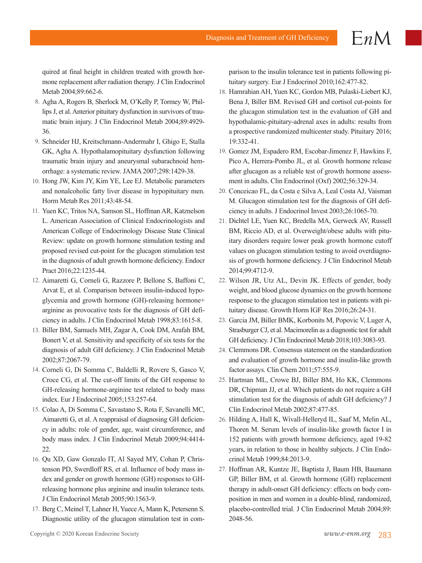quired at final height in children treated with growth hormone replacement after radiation therapy. J Clin Endocrinol Metab 2004;89:662-6.

- 8. Agha A, Rogers B, Sherlock M, O'Kelly P, Tormey W, Phillips J, et al. Anterior pituitary dysfunction in survivors of traumatic brain injury. J Clin Endocrinol Metab 2004;89:4929- 36.
- 9. Schneider HJ, Kreitschmann-Andermahr I, Ghigo E, Stalla GK, Agha A. Hypothalamopituitary dysfunction following traumatic brain injury and aneurysmal subarachnoid hemorrhage: a systematic review. JAMA 2007;298:1429-38.
- 10. Hong JW, Kim JY, Kim YE, Lee EJ. Metabolic parameters and nonalcoholic fatty liver disease in hypopituitary men. Horm Metab Res 2011;43:48-54.
- 11. Yuen KC, Tritos NA, Samson SL, Hoffman AR, Katznelson L. American Association of Clinical Endocrinologists and American College of Endocrinology Disease State Clinical Review: update on growth hormone stimulation testing and proposed revised cut-point for the glucagon stimulation test in the diagnosis of adult growth hormone deficiency. Endocr Pract 2016;22:1235-44.
- 12. Aimaretti G, Corneli G, Razzore P, Bellone S, Baffoni C, Arvat E, et al. Comparison between insulin-induced hypoglycemia and growth hormone (GH)-releasing hormone+ arginine as provocative tests for the diagnosis of GH deficiency in adults. J Clin Endocrinol Metab 1998;83:1615-8.
- 13. Biller BM, Samuels MH, Zagar A, Cook DM, Arafah BM, Bonert V, et al. Sensitivity and specificity of six tests for the diagnosis of adult GH deficiency. J Clin Endocrinol Metab 2002;87:2067-79.
- 14. Corneli G, Di Somma C, Baldelli R, Rovere S, Gasco V, Croce CG, et al. The cut-off limits of the GH response to GH-releasing hormone-arginine test related to body mass index. Eur J Endocrinol 2005;153:257-64.
- 15. Colao A, Di Somma C, Savastano S, Rota F, Savanelli MC, Aimaretti G, et al. A reappraisal of diagnosing GH deficiency in adults: role of gender, age, waist circumference, and body mass index. J Clin Endocrinol Metab 2009;94:4414- 22.
- 16. Qu XD, Gaw Gonzalo IT, Al Sayed MY, Cohan P, Christenson PD, Swerdloff RS, et al. Influence of body mass index and gender on growth hormone (GH) responses to GHreleasing hormone plus arginine and insulin tolerance tests. J Clin Endocrinol Metab 2005;90:1563-9.
- 17. Berg C, Meinel T, Lahner H, Yuece A, Mann K, Petersenn S. Diagnostic utility of the glucagon stimulation test in com-

parison to the insulin tolerance test in patients following pituitary surgery. Eur J Endocrinol 2010;162:477-82.

- 18. Hamrahian AH, Yuen KC, Gordon MB, Pulaski-Liebert KJ, Bena J, Biller BM. Revised GH and cortisol cut-points for the glucagon stimulation test in the evaluation of GH and hypothalamic-pituitary-adrenal axes in adults: results from a prospective randomized multicenter study. Pituitary 2016; 19:332-41.
- 19. Gomez JM, Espadero RM, Escobar-Jimenez F, Hawkins F, Pico A, Herrera-Pombo JL, et al. Growth hormone release after glucagon as a reliable test of growth hormone assessment in adults. Clin Endocrinol (Oxf) 2002;56:329-34.
- 20. Conceicao FL, da Costa e Silva A, Leal Costa AJ, Vaisman M. Glucagon stimulation test for the diagnosis of GH deficiency in adults. J Endocrinol Invest 2003;26:1065-70.
- 21. Dichtel LE, Yuen KC, Bredella MA, Gerweck AV, Russell BM, Riccio AD, et al. Overweight/obese adults with pituitary disorders require lower peak growth hormone cutoff values on glucagon stimulation testing to avoid overdiagnosis of growth hormone deficiency. J Clin Endocrinol Metab 2014;99:4712-9.
- 22. Wilson JR, Utz AL, Devin JK. Effects of gender, body weight, and blood glucose dynamics on the growth hormone response to the glucagon stimulation test in patients with pituitary disease. Growth Horm IGF Res 2016;26:24-31.
- 23. Garcia JM, Biller BMK, Korbonits M, Popovic V, Luger A, Strasburger CJ, et al. Macimorelin as a diagnostic test for adult GH deficiency. J Clin Endocrinol Metab 2018;103:3083-93.
- 24. Clemmons DR. Consensus statement on the standardization and evaluation of growth hormone and insulin-like growth factor assays. Clin Chem 2011;57:555-9.
- 25. Hartman ML, Crowe BJ, Biller BM, Ho KK, Clemmons DR, Chipman JJ, et al. Which patients do not require a GH stimulation test for the diagnosis of adult GH deficiency? J Clin Endocrinol Metab 2002;87:477-85.
- 26. Hilding A, Hall K, Wivall-Helleryd IL, Saaf M, Melin AL, Thoren M. Serum levels of insulin-like growth factor I in 152 patients with growth hormone deficiency, aged 19-82 years, in relation to those in healthy subjects. J Clin Endocrinol Metab 1999;84:2013-9.
- 27. Hoffman AR, Kuntze JE, Baptista J, Baum HB, Baumann GP, Biller BM, et al. Growth hormone (GH) replacement therapy in adult-onset GH deficiency: effects on body composition in men and women in a double-blind, randomized, placebo-controlled trial. J Clin Endocrinol Metab 2004;89: 2048-56.

 $EnM$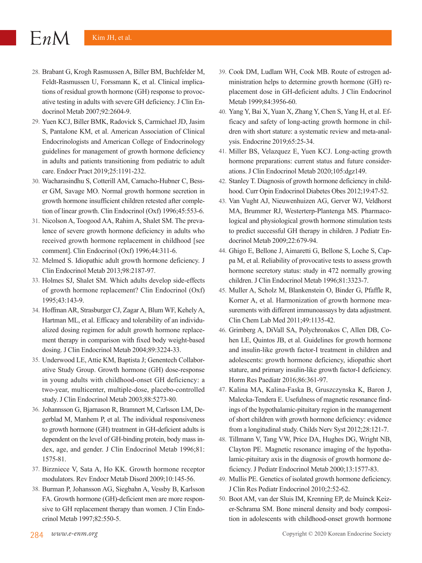- 28. Brabant G, Krogh Rasmussen A, Biller BM, Buchfelder M, Feldt-Rasmussen U, Forssmann K, et al. Clinical implications of residual growth hormone (GH) response to provocative testing in adults with severe GH deficiency. J Clin Endocrinol Metab 2007;92:2604-9.
- 29. Yuen KCJ, Biller BMK, Radovick S, Carmichael JD, Jasim S, Pantalone KM, et al. American Association of Clinical Endocrinologists and American College of Endocrinology guidelines for management of growth hormone deficiency in adults and patients transitioning from pediatric to adult care. Endocr Pract 2019;25:1191-232.
- 30. Wacharasindhu S, Cotterill AM, Camacho-Hubner C, Besser GM, Savage MO. Normal growth hormone secretion in growth hormone insufficient children retested after completion of linear growth. Clin Endocrinol (Oxf) 1996;45:553-6.
- 31. Nicolson A, Toogood AA, Rahim A, Shalet SM. The prevalence of severe growth hormone deficiency in adults who received growth hormone replacement in childhood [see comment]. Clin Endocrinol (Oxf) 1996;44:311-6.
- 32. Melmed S. Idiopathic adult growth hormone deficiency. J Clin Endocrinol Metab 2013;98:2187-97.
- 33. Holmes SJ, Shalet SM. Which adults develop side-effects of growth hormone replacement? Clin Endocrinol (Oxf) 1995;43:143-9.
- 34. Hoffman AR, Strasburger CJ, Zagar A, Blum WF, Kehely A, Hartman ML, et al. Efficacy and tolerability of an individualized dosing regimen for adult growth hormone replacement therapy in comparison with fixed body weight-based dosing. J Clin Endocrinol Metab 2004;89:3224-33.
- 35. Underwood LE, Attie KM, Baptista J; Genentech Collaborative Study Group. Growth hormone (GH) dose-response in young adults with childhood-onset GH deficiency: a two-year, multicenter, multiple-dose, placebo-controlled study. J Clin Endocrinol Metab 2003;88:5273-80.
- 36. Johannsson G, Bjarnason R, Bramnert M, Carlsson LM, Degerblad M, Manhem P, et al. The individual responsiveness to growth hormone (GH) treatment in GH-deficient adults is dependent on the level of GH-binding protein, body mass index, age, and gender. J Clin Endocrinol Metab 1996;81: 1575-81.
- 37. Birzniece V, Sata A, Ho KK. Growth hormone receptor modulators. Rev Endocr Metab Disord 2009;10:145-56.
- 38. Burman P, Johansson AG, Siegbahn A, Vessby B, Karlsson FA. Growth hormone (GH)-deficient men are more responsive to GH replacement therapy than women. J Clin Endocrinol Metab 1997;82:550-5.
- 39. Cook DM, Ludlam WH, Cook MB. Route of estrogen administration helps to determine growth hormone (GH) replacement dose in GH-deficient adults. J Clin Endocrinol Metab 1999;84:3956-60.
- 40. Yang Y, Bai X, Yuan X, Zhang Y, Chen S, Yang H, et al. Efficacy and safety of long-acting growth hormone in children with short stature: a systematic review and meta-analysis. Endocrine 2019;65:25-34.
- 41. Miller BS, Velazquez E, Yuen KCJ. Long-acting growth hormone preparations: current status and future considerations. J Clin Endocrinol Metab 2020;105:dgz149.
- 42. Stanley T. Diagnosis of growth hormone deficiency in childhood. Curr Opin Endocrinol Diabetes Obes 2012;19:47-52.
- 43. Van Vught AJ, Nieuwenhuizen AG, Gerver WJ, Veldhorst MA, Brummer RJ, Westerterp-Plantenga MS. Pharmacological and physiological growth hormone stimulation tests to predict successful GH therapy in children. J Pediatr Endocrinol Metab 2009;22:679-94.
- 44. Ghigo E, Bellone J, Aimaretti G, Bellone S, Loche S, Cappa M, et al. Reliability of provocative tests to assess growth hormone secretory status: study in 472 normally growing children. J Clin Endocrinol Metab 1996;81:3323-7.
- 45. Muller A, Scholz M, Blankenstein O, Binder G, Pfaffle R, Korner A, et al. Harmonization of growth hormone measurements with different immunoassays by data adjustment. Clin Chem Lab Med 2011;49:1135-42.
- 46. Grimberg A, DiVall SA, Polychronakos C, Allen DB, Cohen LE, Quintos JB, et al. Guidelines for growth hormone and insulin-like growth factor-I treatment in children and adolescents: growth hormone deficiency, idiopathic short stature, and primary insulin-like growth factor-I deficiency. Horm Res Paediatr 2016;86:361-97.
- 47. Kalina MA, Kalina-Faska B, Gruszczynska K, Baron J, Malecka-Tendera E. Usefulness of magnetic resonance findings of the hypothalamic-pituitary region in the management of short children with growth hormone deficiency: evidence from a longitudinal study. Childs Nerv Syst 2012;28:121-7.
- 48. Tillmann V, Tang VW, Price DA, Hughes DG, Wright NB, Clayton PE. Magnetic resonance imaging of the hypothalamic-pituitary axis in the diagnosis of growth hormone deficiency. J Pediatr Endocrinol Metab 2000;13:1577-83.
- 49. Mullis PE. Genetics of isolated growth hormone deficiency. J Clin Res Pediatr Endocrinol 2010;2:52-62.
- 50. Boot AM, van der Sluis IM, Krenning EP, de Muinck Keizer-Schrama SM. Bone mineral density and body composition in adolescents with childhood-onset growth hormone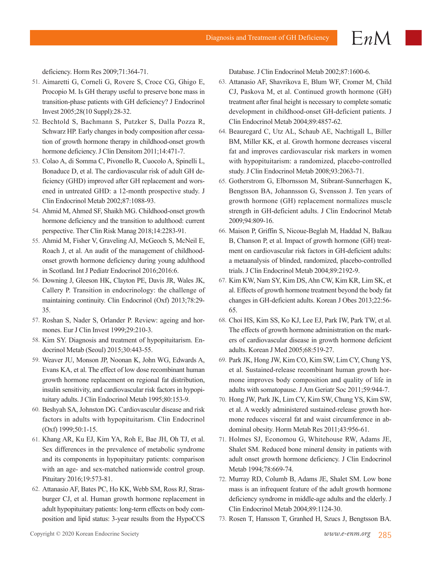deficiency. Horm Res 2009;71:364-71.

- 51. Aimaretti G, Corneli G, Rovere S, Croce CG, Ghigo E, Procopio M. Is GH therapy useful to preserve bone mass in transition-phase patients with GH deficiency? J Endocrinol Invest 2005;28(10 Suppl):28-32.
- 52. Bechtold S, Bachmann S, Putzker S, Dalla Pozza R, Schwarz HP. Early changes in body composition after cessation of growth hormone therapy in childhood-onset growth hormone deficiency. J Clin Densitom 2011;14:471-7.
- 53. Colao A, di Somma C, Pivonello R, Cuocolo A, Spinelli L, Bonaduce D, et al. The cardiovascular risk of adult GH deficiency (GHD) improved after GH replacement and worsened in untreated GHD: a 12-month prospective study. J Clin Endocrinol Metab 2002;87:1088-93.
- 54. Ahmid M, Ahmed SF, Shaikh MG. Childhood-onset growth hormone deficiency and the transition to adulthood: current perspective. Ther Clin Risk Manag 2018;14:2283-91.
- 55. Ahmid M, Fisher V, Graveling AJ, McGeoch S, McNeil E, Roach J, et al. An audit of the management of childhoodonset growth hormone deficiency during young adulthood in Scotland. Int J Pediatr Endocrinol 2016;2016:6.
- 56. Downing J, Gleeson HK, Clayton PE, Davis JR, Wales JK, Callery P. Transition in endocrinology: the challenge of maintaining continuity. Clin Endocrinol (Oxf) 2013;78:29- 35.
- 57. Roshan S, Nader S, Orlander P. Review: ageing and hormones. Eur J Clin Invest 1999;29:210-3.
- 58. Kim SY. Diagnosis and treatment of hypopituitarism. Endocrinol Metab (Seoul) 2015;30:443-55.
- 59. Weaver JU, Monson JP, Noonan K, John WG, Edwards A, Evans KA, et al. The effect of low dose recombinant human growth hormone replacement on regional fat distribution, insulin sensitivity, and cardiovascular risk factors in hypopituitary adults. J Clin Endocrinol Metab 1995;80:153-9.
- 60. Beshyah SA, Johnston DG. Cardiovascular disease and risk factors in adults with hypopituitarism. Clin Endocrinol (Oxf) 1999;50:1-15.
- 61. Khang AR, Ku EJ, Kim YA, Roh E, Bae JH, Oh TJ, et al. Sex differences in the prevalence of metabolic syndrome and its components in hypopituitary patients: comparison with an age- and sex-matched nationwide control group. Pituitary 2016;19:573-81.
- 62. Attanasio AF, Bates PC, Ho KK, Webb SM, Ross RJ, Strasburger CJ, et al. Human growth hormone replacement in adult hypopituitary patients: long-term effects on body composition and lipid status: 3-year results from the HypoCCS

Database. J Clin Endocrinol Metab 2002;87:1600-6.

- 63. Attanasio AF, Shavrikova E, Blum WF, Cromer M, Child CJ, Paskova M, et al. Continued growth hormone (GH) treatment after final height is necessary to complete somatic development in childhood-onset GH-deficient patients. J Clin Endocrinol Metab 2004;89:4857-62.
- 64. Beauregard C, Utz AL, Schaub AE, Nachtigall L, Biller BM, Miller KK, et al. Growth hormone decreases visceral fat and improves cardiovascular risk markers in women with hypopituitarism: a randomized, placebo-controlled study. J Clin Endocrinol Metab 2008;93:2063-71.
- 65. Gotherstrom G, Elbornsson M, Stibrant-Sunnerhagen K, Bengtsson BA, Johannsson G, Svensson J. Ten years of growth hormone (GH) replacement normalizes muscle strength in GH-deficient adults. J Clin Endocrinol Metab 2009;94:809-16.
- 66. Maison P, Griffin S, Nicoue-Beglah M, Haddad N, Balkau B, Chanson P, et al. Impact of growth hormone (GH) treatment on cardiovascular risk factors in GH-deficient adults: a metaanalysis of blinded, randomized, placebo-controlled trials. J Clin Endocrinol Metab 2004;89:2192-9.
- 67. Kim KW, Nam SY, Kim DS, Ahn CW, Kim KR, Lim SK, et al. Effects of growth hormone treatment beyond the body fat changes in GH-deficient adults. Korean J Obes 2013;22:56- 65.
- 68. Choi HS, Kim SS, Ko KJ, Lee EJ, Park IW, Park TW, et al. The effects of growth hormone administration on the markers of cardiovascular disease in growth hormone deficient adults. Korean J Med 2005;68:519-27.
- 69. Park JK, Hong JW, Kim CO, Kim SW, Lim CY, Chung YS, et al. Sustained-release recombinant human growth hormone improves body composition and quality of life in adults with somatopause. J Am Geriatr Soc 2011;59:944-7.
- 70. Hong JW, Park JK, Lim CY, Kim SW, Chung YS, Kim SW, et al. A weekly administered sustained-release growth hormone reduces visceral fat and waist circumference in abdominal obesity. Horm Metab Res 2011;43:956-61.
- 71. Holmes SJ, Economou G, Whitehouse RW, Adams JE, Shalet SM. Reduced bone mineral density in patients with adult onset growth hormone deficiency. J Clin Endocrinol Metab 1994;78:669-74.
- 72. Murray RD, Columb B, Adams JE, Shalet SM. Low bone mass is an infrequent feature of the adult growth hormone deficiency syndrome in middle-age adults and the elderly. J Clin Endocrinol Metab 2004;89:1124-30.
- 73. Rosen T, Hansson T, Granhed H, Szucs J, Bengtsson BA.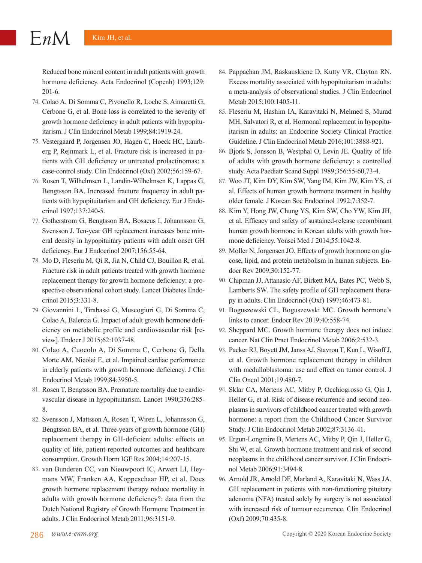- 74. Colao A, Di Somma C, Pivonello R, Loche S, Aimaretti G, Cerbone G, et al. Bone loss is correlated to the severity of growth hormone deficiency in adult patients with hypopituitarism. J Clin Endocrinol Metab 1999;84:1919-24.
- 75. Vestergaard P, Jorgensen JO, Hagen C, Hoeck HC, Laurberg P, Rejnmark L, et al. Fracture risk is increased in patients with GH deficiency or untreated prolactinomas: a case-control study. Clin Endocrinol (Oxf) 2002;56:159-67.
- 76. Rosen T, Wilhelmsen L, Landin-Wilhelmsen K, Lappas G, Bengtsson BA. Increased fracture frequency in adult patients with hypopituitarism and GH deficiency. Eur J Endocrinol 1997;137:240-5.
- 77. Gotherstrom G, Bengtsson BA, Bosaeus I, Johannsson G, Svensson J. Ten-year GH replacement increases bone mineral density in hypopituitary patients with adult onset GH deficiency. Eur J Endocrinol 2007;156:55-64.
- 78. Mo D, Fleseriu M, Qi R, Jia N, Child CJ, Bouillon R, et al. Fracture risk in adult patients treated with growth hormone replacement therapy for growth hormone deficiency: a prospective observational cohort study. Lancet Diabetes Endocrinol 2015;3:331-8.
- 79. Giovannini L, Tirabassi G, Muscogiuri G, Di Somma C, Colao A, Balercia G. Impact of adult growth hormone deficiency on metabolic profile and cardiovascular risk [review]. Endocr J 2015;62:1037-48.
- 80. Colao A, Cuocolo A, Di Somma C, Cerbone G, Della Morte AM, Nicolai E, et al. Impaired cardiac performance in elderly patients with growth hormone deficiency. J Clin Endocrinol Metab 1999;84:3950-5.
- 81. Rosen T, Bengtsson BA. Premature mortality due to cardiovascular disease in hypopituitarism. Lancet 1990;336:285- 8.
- 82. Svensson J, Mattsson A, Rosen T, Wiren L, Johannsson G, Bengtsson BA, et al. Three-years of growth hormone (GH) replacement therapy in GH-deficient adults: effects on quality of life, patient-reported outcomes and healthcare consumption. Growth Horm IGF Res 2004;14:207-15.
- 83. van Bunderen CC, van Nieuwpoort IC, Arwert LI, Heymans MW, Franken AA, Koppeschaar HP, et al. Does growth hormone replacement therapy reduce mortality in adults with growth hormone deficiency?: data from the Dutch National Registry of Growth Hormone Treatment in adults. J Clin Endocrinol Metab 2011;96:3151-9.
- 84. Pappachan JM, Raskauskiene D, Kutty VR, Clayton RN. Excess mortality associated with hypopituitarism in adults: a meta-analysis of observational studies. J Clin Endocrinol Metab 2015;100:1405-11.
- 85. Fleseriu M, Hashim IA, Karavitaki N, Melmed S, Murad MH, Salvatori R, et al. Hormonal replacement in hypopituitarism in adults: an Endocrine Society Clinical Practice Guideline. J Clin Endocrinol Metab 2016;101:3888-921.
- 86. Bjork S, Jonsson B, Westphal O, Levin JE. Quality of life of adults with growth hormone deficiency: a controlled study. Acta Paediatr Scand Suppl 1989;356:55-60,73-4.
- 87. Woo JT, Kim DY, Kim SW, Yang IM, Kim JW, Kim YS, et al. Effects of human growth hormone treatment in healthy older female. J Korean Soc Endocrinol 1992;7:352-7.
- 88. Kim Y, Hong JW, Chung YS, Kim SW, Cho YW, Kim JH, et al. Efficacy and safety of sustained-release recombinant human growth hormone in Korean adults with growth hormone deficiency. Yonsei Med J 2014;55:1042-8.
- 89. Moller N, Jorgensen JO. Effects of growth hormone on glucose, lipid, and protein metabolism in human subjects. Endocr Rev 2009;30:152-77.
- 90. Chipman JJ, Attanasio AF, Birkett MA, Bates PC, Webb S, Lamberts SW. The safety profile of GH replacement therapy in adults. Clin Endocrinol (Oxf) 1997;46:473-81.
- 91. Boguszewski CL, Boguszewski MC. Growth hormone's links to cancer. Endocr Rev 2019;40:558-74.
- 92. Sheppard MC. Growth hormone therapy does not induce cancer. Nat Clin Pract Endocrinol Metab 2006;2:532-3.
- 93. Packer RJ, Boyett JM, Janss AJ, Stavrou T, Kun L, Wisoff J, et al. Growth hormone replacement therapy in children with medulloblastoma: use and effect on tumor control. J Clin Oncol 2001;19:480-7.
- 94. Sklar CA, Mertens AC, Mitby P, Occhiogrosso G, Qin J, Heller G, et al. Risk of disease recurrence and second neoplasms in survivors of childhood cancer treated with growth hormone: a report from the Childhood Cancer Survivor Study. J Clin Endocrinol Metab 2002;87:3136-41.
- 95. Ergun-Longmire B, Mertens AC, Mitby P, Qin J, Heller G, Shi W, et al. Growth hormone treatment and risk of second neoplasms in the childhood cancer survivor. J Clin Endocrinol Metab 2006;91:3494-8.
- 96. Arnold JR, Arnold DF, Marland A, Karavitaki N, Wass JA. GH replacement in patients with non-functioning pituitary adenoma (NFA) treated solely by surgery is not associated with increased risk of tumour recurrence. Clin Endocrinol (Oxf) 2009;70:435-8.